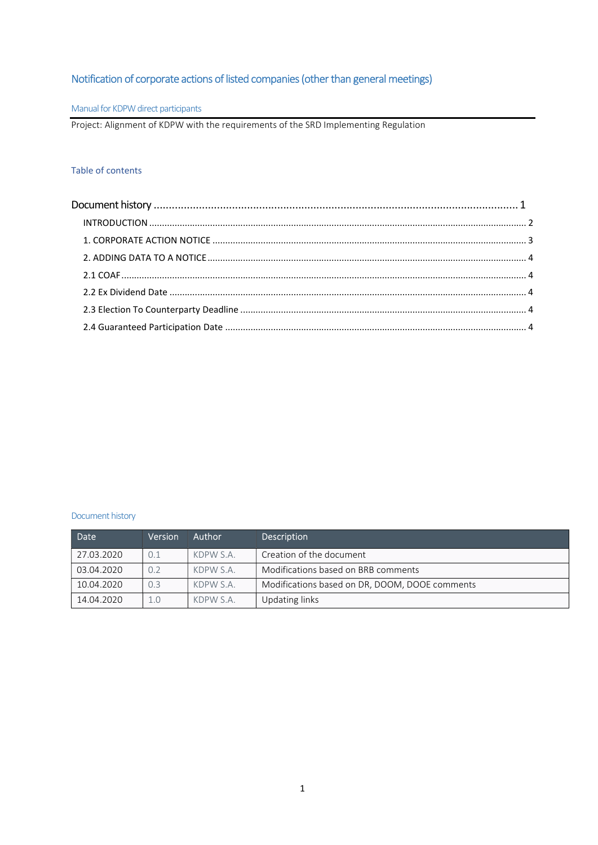# Notification of corporate actions of listed companies (other than general meetings)

## Manual for KDPW direct participants

Project: Alignment of KDPW with the requirements of the SRD Implementing Regulation

## Table of contents

## Document history

| Date       | Version | <b>Author</b> | <b>Description</b>                             |  |
|------------|---------|---------------|------------------------------------------------|--|
| 27.03.2020 | 0.1     | KDPW S.A.     | Creation of the document                       |  |
| 03.04.2020 | 0.2     | KDPW S.A.     | Modifications based on BRB comments            |  |
| 10.04.2020 | 0.3     | KDPW S.A.     | Modifications based on DR, DOOM, DOOE comments |  |
| 14.04.2020 | 1.0     | KDPW S.A.     | Updating links                                 |  |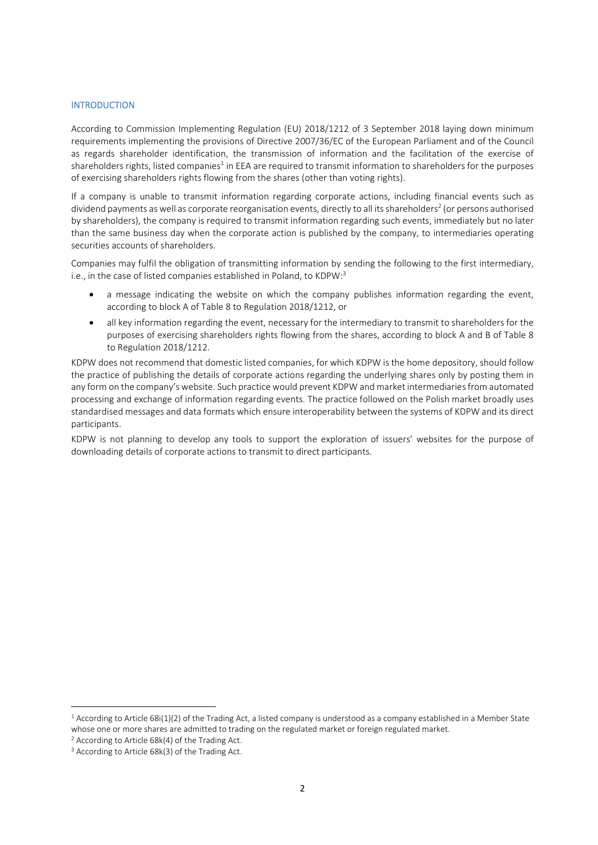### **INTRODUCTION**

According to Commission Implementing Regulation (EU) 2018/1212 of 3 September 2018 laying down minimum requirements implementing the provisions of Directive 2007/36/EC of the European Parliament and of the Council as regards shareholder identification, the transmission of information and the facilitation of the exercise of shareholders rights, listed companies<sup>1</sup> in EEA are required to transmit information to shareholders for the purposes of exercising shareholders rights flowing from the shares (other than voting rights).

If a company is unable to transmit information regarding corporate actions, including financial events such as dividend payments as well as corporate reorganisation events, directly to all its shareholders<sup>2</sup> (or persons authorised by shareholders), the company is required to transmit information regarding such events, immediately but no later than the same business day when the corporate action is published by the company, to intermediaries operating securities accounts of shareholders.

Companies may fulfil the obligation of transmitting information by sending the following to the first intermediary, i.e., in the case of listed companies established in Poland, to KDPW:<sup>3</sup>

- a message indicating the website on which the company publishes information regarding the event, according to block A of Table 8 to Regulation 2018/1212, or
- all key information regarding the event, necessary for the intermediary to transmit to shareholders for the purposes of exercising shareholders rights flowing from the shares, according to block A and B of Table 8 to Regulation 2018/1212.

KDPW does not recommend that domestic listed companies, for which KDPW is the home depository, should follow the practice of publishing the details of corporate actions regarding the underlying shares only by posting them in any form on the company's website. Such practice would prevent KDPW and market intermediaries from automated processing and exchange of information regarding events. The practice followed on the Polish market broadly uses standardised messages and data formats which ensure interoperability between the systems of KDPW and its direct participants.

KDPW is not planning to develop any tools to support the exploration of issuers' websites for the purpose of downloading details of corporate actions to transmit to direct participants.

 $1$  According to Article 68i(1)(2) of the Trading Act, a listed company is understood as a company established in a Member State whose one or more shares are admitted to trading on the regulated market or foreign regulated market.

<sup>2</sup> According to Article 68k(4) of the Trading Act.

<sup>&</sup>lt;sup>3</sup> According to Article 68k(3) of the Trading Act.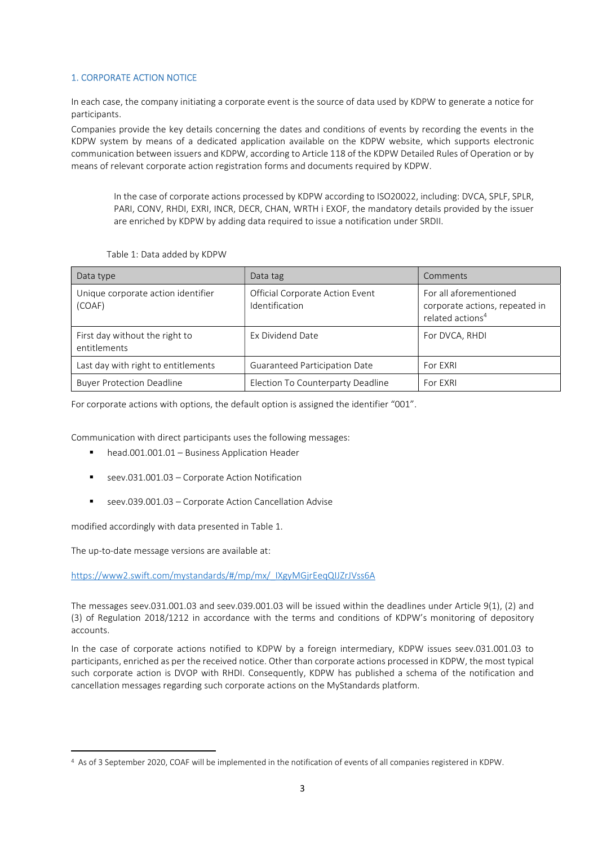## 1. CORPORATE ACTION NOTICE

In each case, the company initiating a corporate event is the source of data used by KDPW to generate a notice for participants.

Companies provide the key details concerning the dates and conditions of events by recording the events in the KDPW system by means of a dedicated application available on the KDPW website, which supports electronic communication between issuers and KDPW, according to Article 118 of the KDPW Detailed Rules of Operation or by means of relevant corporate action registration forms and documents required by KDPW.

In the case of corporate actions processed by KDPW according to ISO20022, including: DVCA, SPLF, SPLR, PARI, CONV, RHDI, EXRI, INCR, DECR, CHAN, WRTH i EXOF, the mandatory details provided by the issuer are enriched by KDPW by adding data required to issue a notification under SRDII.

| Data type                                      | Data tag                                          | Comments                                                                                 |
|------------------------------------------------|---------------------------------------------------|------------------------------------------------------------------------------------------|
| Unique corporate action identifier<br>(COAF)   | Official Corporate Action Event<br>Identification | For all aforementioned<br>corporate actions, repeated in<br>related actions <sup>4</sup> |
| First day without the right to<br>entitlements | Ex Dividend Date                                  | For DVCA, RHDI                                                                           |
| Last day with right to entitlements            | <b>Guaranteed Participation Date</b>              | For EXRI                                                                                 |
| <b>Buyer Protection Deadline</b>               | Election To Counterparty Deadline                 | For EXRI                                                                                 |

For corporate actions with options, the default option is assigned the identifier "001".

Communication with direct participants uses the following messages:

- head.001.001.01 Business Application Header
- seev.031.001.03 Corporate Action Notification
- seev.039.001.03 Corporate Action Cancellation Advise

modified accordingly with data presented in Table 1.

The up-to-date message versions are available at:

https://www2.swift.com/mystandards/#/mp/mx/\_IXgyMGjrEeqQIJZrJVss6A

The messages seev.031.001.03 and seev.039.001.03 will be issued within the deadlines under Article 9(1), (2) and (3) of Regulation 2018/1212 in accordance with the terms and conditions of KDPW's monitoring of depository accounts.

In the case of corporate actions notified to KDPW by a foreign intermediary, KDPW issues seev.031.001.03 to participants, enriched as per the received notice. Other than corporate actions processed in KDPW, the most typical such corporate action is DVOP with RHDI. Consequently, KDPW has published a schema of the notification and cancellation messages regarding such corporate actions on the MyStandards platform.

<sup>4</sup> As of 3 September 2020, COAF will be implemented in the notification of events of all companies registered in KDPW.